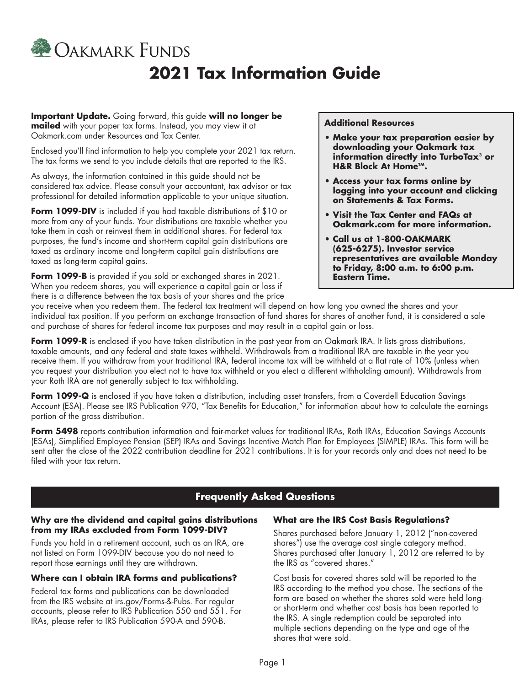

# **2021 Tax Information Guide**

**Important Update.** Going forward, this guide **will no longer be mportun opened of the state of the set of the set of the constant of the mailed** with your paper tax forms. Instead, you may view it at **Additional Resources** 

Enclosed you'll find information to help you complete your 2021 tax return.<br>The tax forms we send to you include details that are reported to the IRS.<br>**H&R Block At Home<sup>TM</sup>.** 

As always, the information contained in this guide should not be<br>considered tax advice. Please consult your accountant, tax advisor or tax<br>professional for detailed information applicable to your unique situation.<br>**on Stat** 

Form 1099-DIV is included if you had taxable distributions of \$10 or<br>more from any of your funds. Your distributions are taxable whether you<br>take them in cash or reinvest them in additional shares. For federal tax<br>purposes purposes, the fund's income and short-term capital gain distributions are **• Call us at 1-800-OAKMARK** 

Form 1099-B is provided if you sold or exchanged shares in 2021. When you redeem shares, you will experience a capital gain or loss if there is a difference between the tax basis of your shares and the price

- [Oakmark.com](http://Oakmark.com) under Resources and Tax Center.<br>**Foat and Tax Center. Make your tax preparation easier by explored to the set of the set of the downloading your Oakmark tax** 
	-
	-
- taxed as ordinary income and long-term capital gain distributions are **(625-6275). Investor service**<br>taxed as long-term capital gains.<br>**Form 1099-B** is provided if you sold or exchanged shares in 2021. **Eastern Time.**

you receive when you redeem them. The federal tax treatment will depend on how long you owned the shares and your individual tax position. If you perform an exchange transaction of fund shares for shares of another fund, it is considered a sale and purchase of shares for federal income tax purposes and may result in a capital gain or loss.

**Form 1099-R** is enclosed if you have taken distribution in the past year from an Oakmark IRA. It lists gross distributions, taxable amounts, and any federal and state taxes withheld. Withdrawals from a traditional IRA are taxable in the year you receive them. If you withdraw from your traditional IRA, federal income tax will be withheld at a flat rate of 10% (unless when you request your distribution you elect not to have tax withheld or you elect a different withholding amount). Withdrawals from your Roth IRA are not generally subject to tax withholding.

**Form 1099-Q** is enclosed if you have taken a distribution, including asset transfers, from a Coverdell Education Savings Account (ESA). Please see IRS Publication 970, "Tax Benefits for Education," for information about how to calculate the earnings portion of the gross distribution.

**Form 5498** reports contribution information and fair-market values for traditional IRAs, Roth IRAs, Education Savings Accounts (ESAs), Simplified Employee Pension (SEP) IRAs and Savings Incentive Match Plan for Employees (SIMPLE) IRAs. This form will be sent after the close of the 2022 contribution deadline for 2021 contributions. It is for your records only and does not need to be filed with your tax return.

## **Frequently Asked Questions**

### **Why are the dividend and capital gains distributions from my IRAs excluded from Form 1099-DIV?**

Funds you hold in a retirement account, such as an IRA, are not listed on Form 1099-DIV because you do not need to report those earnings until they are withdrawn.

### **Where can I obtain IRA forms and publications?**

Federal tax forms and publications can be downloaded from the IRS website at [irs.gov/Forms-&-Pubs.](http://irs.gov/Forms-&-Pubs) For regular accounts, please refer to IRS Publication 550 and 551. For IRAs, please refer to IRS Publication 590-A and 590-B.

#### **What are the IRS Cost Basis Regulations?**

Shares purchased before January 1, 2012 ("non-covered shares") use the average cost single category method. Shares purchased after January 1, 2012 are referred to by the IRS as "covered shares."

Cost basis for covered shares sold will be reported to the IRS according to the method you chose. The sections of the form are based on whether the shares sold were held longor short-term and whether cost basis has been reported to the IRS. A single redemption could be separated into multiple sections depending on the type and age of the shares that were sold.